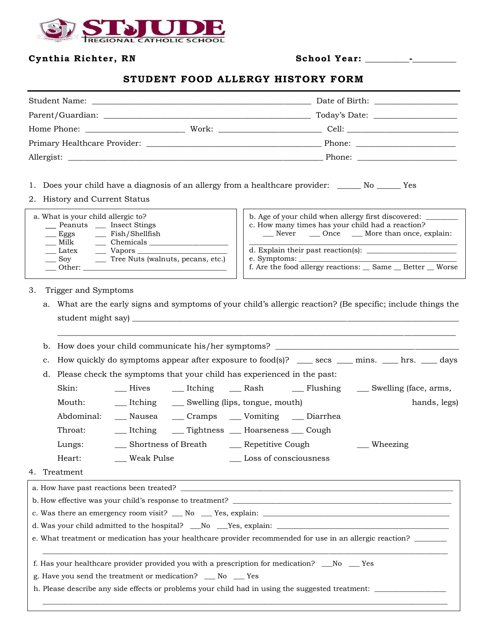

# **Cynth ia Richter, RN Schoo l Year: \_\_\_\_\_\_\_\_\_\_-\_\_\_\_\_\_\_\_\_\_**

# **STUDENT FOOD ALLERGY HISTORY FORM**

|            |       | Today's Date:                                                                                                                                                                                                                  |
|------------|-------|--------------------------------------------------------------------------------------------------------------------------------------------------------------------------------------------------------------------------------|
|            | Work: | Cell: the contract of the contract of the contract of the contract of the contract of the contract of the contract of the contract of the contract of the contract of the contract of the contract of the contract of the cont |
|            |       | Phone: the contract of the contract of the contract of the contract of the contract of the contract of the contract of the contract of the contract of the contract of the contract of the contract of the contract of the con |
| Allergist: |       | Phone: $\qquad \qquad$                                                                                                                                                                                                         |

- 1. Does your child have a diagnosis of an allergy from a healthcare provider: \_\_\_\_\_\_ No \_\_\_\_\_\_ Yes
- 2. History and Current Status

| a. What is your child allergic to?<br>__ Peanuts __ Insect Stings<br>$\frac{1}{2}$ Fish/Shellfish<br>$\equiv$ Eggs<br>Chemicals<br>Milk | b. Age of your child when allergy first discovered:<br>c. How many times has your child had a reaction?<br>Never Once More than once, explain: |  |  |
|-----------------------------------------------------------------------------------------------------------------------------------------|------------------------------------------------------------------------------------------------------------------------------------------------|--|--|
| Latex<br>Vapors <u>the second</u><br>__ Tree Nuts (walnuts, pecans, etc.)<br>Sov<br>Other:                                              | d. Explain their past reaction(s):<br>$e.$ Symptoms: $\_\_$<br>f. Are the food allergy reactions: Same Better Worse                            |  |  |

### 3. Trigger and Symptoms

a. What are the early signs and symptoms of your child's allergic reaction? (Be specific; include things the student might say) \_\_\_\_\_\_\_\_\_\_\_\_\_\_\_\_\_\_\_\_\_\_\_\_\_\_\_\_\_\_\_\_\_\_\_\_\_\_\_\_\_\_\_\_\_\_\_\_\_\_\_\_\_\_\_\_\_\_\_\_\_\_\_\_\_\_\_\_\_\_\_\_\_\_\_\_\_\_\_\_\_\_

\_\_\_\_\_\_\_\_\_\_\_\_\_\_\_\_\_\_\_\_\_\_\_\_\_\_\_\_\_\_\_\_\_\_\_\_\_\_\_\_\_\_\_\_\_\_\_\_\_\_\_\_\_\_\_\_\_\_\_\_\_\_\_\_\_\_\_\_\_\_\_\_\_\_\_\_\_\_\_\_\_\_\_\_\_\_\_\_\_\_\_\_\_\_\_\_\_\_\_\_

| b.                                                                                                        | How does your child communicate his/her symptoms? _______________________________                      |                                                  |  |  |                                                                                              |  |              |
|-----------------------------------------------------------------------------------------------------------|--------------------------------------------------------------------------------------------------------|--------------------------------------------------|--|--|----------------------------------------------------------------------------------------------|--|--------------|
| c.                                                                                                        | How quickly do symptoms appear after exposure to food(s)? _____ secs _____ mins. _____ hrs. _____ days |                                                  |  |  |                                                                                              |  |              |
| d.                                                                                                        |                                                                                                        |                                                  |  |  | Please check the symptoms that your child has experienced in the past:                       |  |              |
|                                                                                                           | Skin:                                                                                                  |                                                  |  |  |                                                                                              |  |              |
|                                                                                                           | Mouth:                                                                                                 | __ Itching ______ Swelling (lips, tongue, mouth) |  |  |                                                                                              |  | hands, legs) |
|                                                                                                           | Abdominal:                                                                                             |                                                  |  |  | __ Nausea __ Cramps __ Vomiting __ Diarrhea                                                  |  |              |
|                                                                                                           | Throat:                                                                                                |                                                  |  |  | __ Itching ____ Tightness ___ Hoarseness ___ Cough                                           |  |              |
|                                                                                                           | Lungs:                                                                                                 |                                                  |  |  | __ Shortness of Breath _______ Repetitive Cough ______________ Wheezing                      |  |              |
|                                                                                                           | Heart:                                                                                                 |                                                  |  |  |                                                                                              |  |              |
| 4.                                                                                                        | Treatment                                                                                              |                                                  |  |  |                                                                                              |  |              |
|                                                                                                           |                                                                                                        |                                                  |  |  |                                                                                              |  |              |
|                                                                                                           |                                                                                                        |                                                  |  |  |                                                                                              |  |              |
|                                                                                                           |                                                                                                        |                                                  |  |  |                                                                                              |  |              |
|                                                                                                           |                                                                                                        |                                                  |  |  |                                                                                              |  |              |
| e. What treatment or medication has your healthcare provider recommended for use in an allergic reaction? |                                                                                                        |                                                  |  |  |                                                                                              |  |              |
|                                                                                                           |                                                                                                        |                                                  |  |  | f. Has your healthcare provider provided you with a prescription for medication? __No __ Yes |  |              |
|                                                                                                           | g. Have you send the treatment or medication? __ No __ Yes                                             |                                                  |  |  |                                                                                              |  |              |
| h. Please describe any side effects or problems your child had in using the suggested treatment:          |                                                                                                        |                                                  |  |  |                                                                                              |  |              |
|                                                                                                           |                                                                                                        |                                                  |  |  |                                                                                              |  |              |